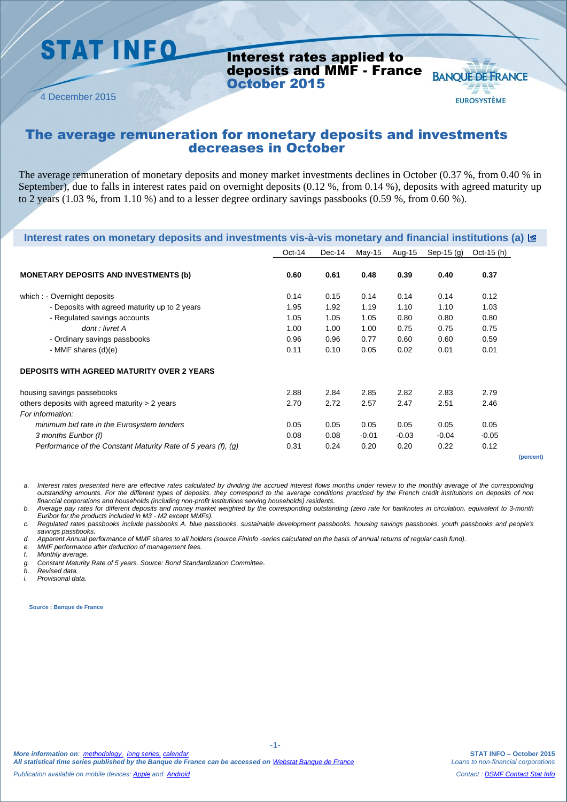## **STAT INFO**

Interest rates applied to deposits and MMF - France October 2015

**BANQUE DE FRANCE** 

**EUROSYSTÈME** 

4 December 2015

### The average remuneration for monetary deposits and investments decreases in October

The average remuneration of monetary deposits and money market investments declines in October (0.37 %, from 0.40 % in September), due to falls in interest rates paid on overnight deposits (0.12 %, from 0.14 %), deposits with agreed maturity up to 2 years (1.03 %, from 1.10 %) and to a lesser degree ordinary savings passbooks (0.59 %, from 0.60 %).

| Interest rates on monetary deposits and investments vis-à-vis monetary and financial institutions (a) <b>E</b> |          |        |         |         |              |              |           |
|----------------------------------------------------------------------------------------------------------------|----------|--------|---------|---------|--------------|--------------|-----------|
|                                                                                                                | $Oct-14$ | Dec-14 | May-15  | Aug-15  | Sep-15 $(g)$ | Oct-15 $(h)$ |           |
| <b>MONETARY DEPOSITS AND INVESTMENTS (b)</b>                                                                   | 0.60     | 0.61   | 0.48    | 0.39    | 0.40         | 0.37         |           |
| which : - Overnight deposits                                                                                   | 0.14     | 0.15   | 0.14    | 0.14    | 0.14         | 0.12         |           |
| - Deposits with agreed maturity up to 2 years                                                                  | 1.95     | 1.92   | 1.19    | 1.10    | 1.10         | 1.03         |           |
| - Regulated savings accounts                                                                                   | 1.05     | 1.05   | 1.05    | 0.80    | 0.80         | 0.80         |           |
| dont : livret A                                                                                                | 1.00     | 1.00   | 1.00    | 0.75    | 0.75         | 0.75         |           |
| - Ordinary savings passbooks                                                                                   | 0.96     | 0.96   | 0.77    | 0.60    | 0.60         | 0.59         |           |
| - MMF shares $(d)(e)$                                                                                          | 0.11     | 0.10   | 0.05    | 0.02    | 0.01         | 0.01         |           |
| <b>DEPOSITS WITH AGREED MATURITY OVER 2 YEARS</b>                                                              |          |        |         |         |              |              |           |
| housing savings passebooks                                                                                     | 2.88     | 2.84   | 2.85    | 2.82    | 2.83         | 2.79         |           |
| others deposits with agreed maturity $> 2$ years<br>For information:                                           | 2.70     | 2.72   | 2.57    | 2.47    | 2.51         | 2.46         |           |
| minimum bid rate in the Eurosystem tenders                                                                     | 0.05     | 0.05   | 0.05    | 0.05    | 0.05         | 0.05         |           |
| 3 months Euribor (f)                                                                                           | 0.08     | 0.08   | $-0.01$ | $-0.03$ | $-0.04$      | $-0.05$      |           |
| Performance of the Constant Maturity Rate of 5 years (f), (g)                                                  | 0.31     | 0.24   | 0.20    | 0.20    | 0.22         | 0.12         |           |
|                                                                                                                |          |        |         |         |              |              | (percent) |

*a. Interest rates presented here are effective rates calculated by dividing the accrued interest flows months under review to the monthly average of the corresponding outstanding amounts. For the different types of deposits. they correspond to the average conditions practiced by the French credit institutions on deposits of non financial corporations and households (including non-profit institutions serving households) residents.*

*b. Average pay rates for different deposits and money market weighted by the corresponding outstanding (zero rate for banknotes in circulation. equivalent to 3-month Euribor for the products included in M3 - M2 except MMFs).*

*c. Regulated rates passbooks include passbooks A. blue passbooks. sustainable development passbooks. housing savings passbooks. youth passbooks and people's savings passbooks.*

-1-

*d. Apparent Annual performance of MMF shares to all holders (source Fininfo -series calculated on the basis of annual returns of regular cash fund).*

*e. MMF performance after deduction of management fees.*

*f. Monthly average.* 

*g. Constant Maturity Rate of 5 years. Source: Bond Standardization Committee*.

*h. Revised data.*

*i. Provisional data.*

**Source : Banque de France**